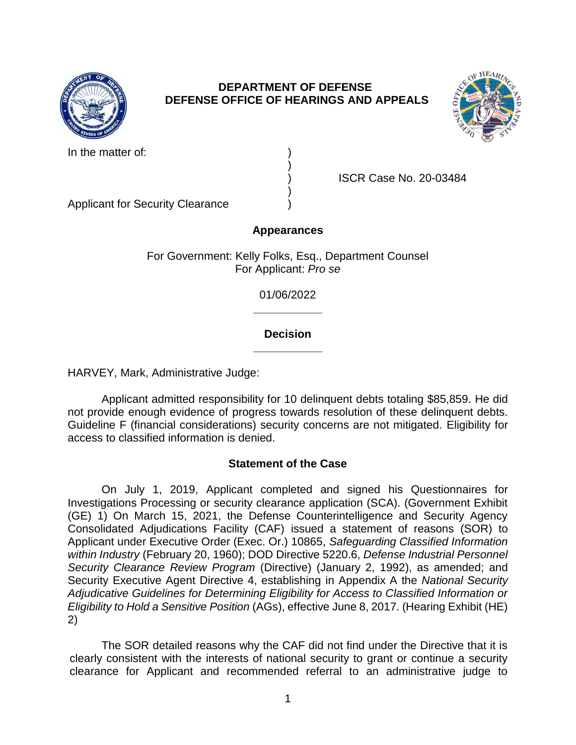

## **DEPARTMENT OF DEFENSE DEFENSE OFFICE OF HEARINGS AND APPEALS**



In the matter of:

) ISCR Case No. 20-03484

Applicant for Security Clearance )

# **Appearances**

)

)

For Government: Kelly Folks, Esq., Department Counsel For Applicant: *Pro se* 

> **\_\_\_\_\_\_\_\_\_\_\_**  01/06/2022

## **\_\_\_\_\_\_\_\_\_\_\_ Decision**

HARVEY, Mark, Administrative Judge:

 not provide enough evidence of progress towards resolution of these delinquent debts. Guideline F (financial considerations) security concerns are not mitigated. Eligibility for Applicant admitted responsibility for 10 delinguent debts totaling \$85,859. He did access to classified information is denied.

## **Statement of the Case**

 On July 1, 2019, Applicant completed and signed his Questionnaires for Investigations Processing or security clearance application (SCA). (Government Exhibit (GE) 1) On March 15, 2021, the Defense Counterintelligence and Security Agency Consolidated Adjudications Facility (CAF) issued a statement of reasons (SOR) to  *Security Clearance Review Program* (Directive) (January 2, 1992), as amended; and Security Executive Agent Directive 4, establishing in Appendix A the *National Security Adjudicative Guidelines for Determining Eligibility for Access to Classified Information or Eligibility to Hold a Sensitive Position* (AGs), effective June 8, 2017. (Hearing Exhibit (HE) Applicant under Executive Order (Exec. Or.) 10865, *Safeguarding Classified Information within Industry* (February 20, 1960); DOD Directive 5220.6, *Defense Industrial Personnel*  2)

 The SOR detailed reasons why the CAF did not find under the Directive that it is clearly consistent with the interests of national security to grant or continue a security clearance for Applicant and recommended referral to an administrative judge to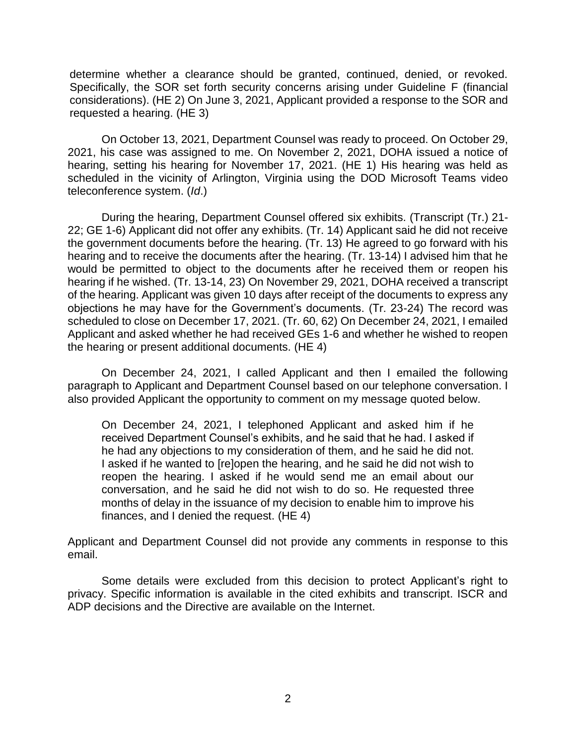determine whether a clearance should be granted, continued, denied, or revoked. Specifically, the SOR set forth security concerns arising under Guideline F (financial considerations). (HE 2) On June 3, 2021, Applicant provided a response to the SOR and requested a hearing. (HE 3)

requested a hearing. (HE 3)<br>On October 13, 2021, Department Counsel was ready to proceed. On October 29, 2021, his case was assigned to me. On November 2, 2021, DOHA issued a notice of scheduled in the vicinity of Arlington, Virginia using the DOD Microsoft Teams video teleconference system. (*Id*.) hearing, setting his hearing for November 17, 2021. (HE 1) His hearing was held as

 During the hearing, Department Counsel offered six exhibits. (Transcript (Tr.) 21- 22; GE 1-6) Applicant did not offer any exhibits. (Tr. 14) Applicant said he did not receive hearing and to receive the documents after the hearing. (Tr. 13-14) I advised him that he would be permitted to object to the documents after he received them or reopen his hearing if he wished. (Tr. 13-14, 23) On November 29, 2021, DOHA received a transcript of the hearing. Applicant was given 10 days after receipt of the documents to express any objections he may have for the Government's documents. (Tr. 23-24) The record was scheduled to close on December 17, 2021. (Tr. 60, 62) On December 24, 2021, I emailed Applicant and asked whether he had received GEs 1-6 and whether he wished to reopen the government documents before the hearing. (Tr. 13) He agreed to go forward with his the hearing or present additional documents. (HE 4)

 On December 24, 2021, I called Applicant and then I emailed the following paragraph to Applicant and Department Counsel based on our telephone conversation. I also provided Applicant the opportunity to comment on my message quoted below.

On December 24, 2021, I telephoned Applicant and asked him if he received Department Counsel's exhibits, and he said that he had. I asked if he had any objections to my consideration of them, and he said he did not. I asked if he wanted to [re]open the hearing, and he said he did not wish to reopen the hearing. I asked if he would send me an email about our conversation, and he said he did not wish to do so. He requested three months of delay in the issuance of my decision to enable him to improve his finances, and I denied the request. (HE 4)

 Applicant and Department Counsel did not provide any comments in response to this email.

 Some details were excluded from this decision to protect Applicant's right to privacy. Specific information is available in the cited exhibits and transcript. ISCR and ADP decisions and the Directive are available on the Internet.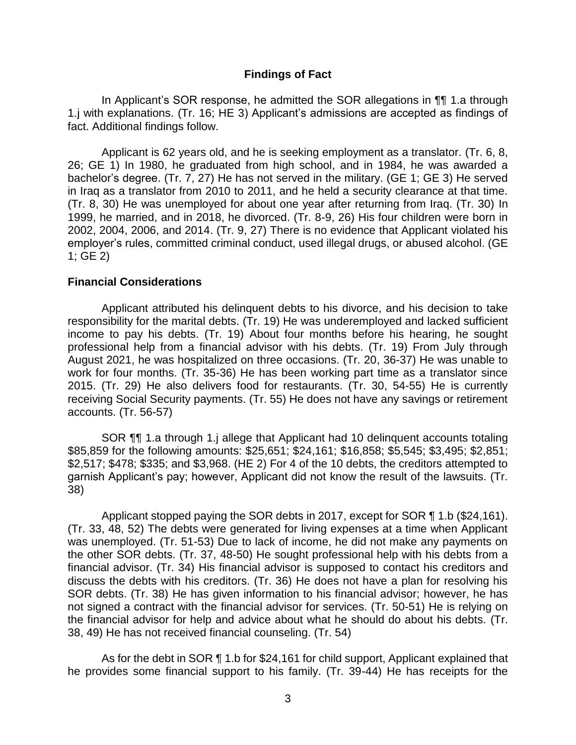#### **Findings of Fact**

In Applicant's SOR response, he admitted the SOR allegations in ¶¶ 1.a through 1.j with explanations. (Tr. 16; HE 3) Applicant's admissions are accepted as findings of fact. Additional findings follow.

 Applicant is 62 years old, and he is seeking employment as a translator. (Tr. 6, 8, 26; GE 1) In 1980, he graduated from high school, and in 1984, he was awarded a bachelor's degree. (Tr. 7, 27) He has not served in the military. (GE 1; GE 3) He served in Iraq as a translator from 2010 to 2011, and he held a security clearance at that time. (Tr. 8, 30) He was unemployed for about one year after returning from Iraq. (Tr. 30) In 2002, 2004, 2006, and 2014. (Tr. 9, 27) There is no evidence that Applicant violated his 1999, he married, and in 2018, he divorced. (Tr. 8-9, 26) His four children were born in employer's rules, committed criminal conduct, used illegal drugs, or abused alcohol. (GE 1; GE 2)

#### **Financial Considerations**

 Applicant attributed his delinquent debts to his divorce, and his decision to take income to pay his debts. (Tr. 19) About four months before his hearing, he sought professional help from a financial advisor with his debts. (Tr. 19) From July through August 2021, he was hospitalized on three occasions. (Tr. 20, 36-37) He was unable to work for four months. (Tr. 35-36) He has been working part time as a translator since responsibility for the marital debts. (Tr. 19) He was underemployed and lacked sufficient 2015. (Tr. 29) He also delivers food for restaurants. (Tr. 30, 54-55) He is currently receiving Social Security payments. (Tr. 55) He does not have any savings or retirement accounts. (Tr. 56-57)

 \$85,859 for the following amounts: \$25,651; \$24,161; \$16,858; \$5,545; \$3,495; \$2,851; garnish Applicant's pay; however, Applicant did not know the result of the lawsuits. (Tr. SOR ¶¶ 1.a through 1.j allege that Applicant had 10 delinquent accounts totaling \$2,517; \$478; \$335; and \$3,968. (HE 2) For 4 of the 10 debts, the creditors attempted to 38)

 Applicant stopped paying the SOR debts in 2017, except for SOR ¶ 1.b (\$24,161). (Tr. 33, 48, 52) The debts were generated for living expenses at a time when Applicant was unemployed. (Tr. 51-53) Due to lack of income, he did not make any payments on the other SOR debts. (Tr. 37, 48-50) He sought professional help with his debts from a financial advisor. (Tr. 34) His financial advisor is supposed to contact his creditors and discuss the debts with his creditors. (Tr. 36) He does not have a plan for resolving his SOR debts. (Tr. 38) He has given information to his financial advisor; however, he has not signed a contract with the financial advisor for services. (Tr. 50-51) He is relying on the financial advisor for help and advice about what he should do about his debts. (Tr. 38, 49) He has not received financial counseling. (Tr. 54)

As for the debt in SOR ¶ 1.b for \$24,161 for child support, Applicant explained that he provides some financial support to his family. (Tr. 39-44) He has receipts for the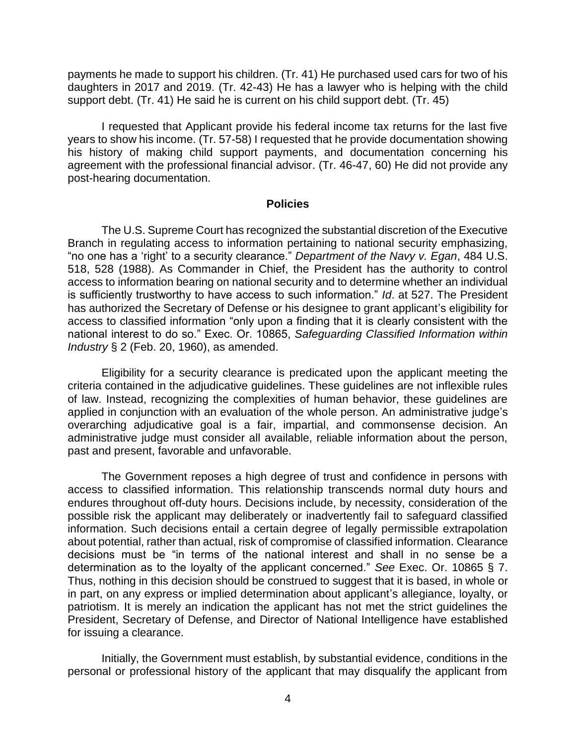payments he made to support his children. (Tr. 41) He purchased used cars for two of his daughters in 2017 and 2019. (Tr. 42-43) He has a lawyer who is helping with the child support debt. (Tr. 41) He said he is current on his child support debt. (Tr. 45)

 I requested that Applicant provide his federal income tax returns for the last five years to show his income. (Tr. 57-58) I requested that he provide documentation showing his history of making child support payments, and documentation concerning his agreement with the professional financial advisor. (Tr. 46-47, 60) He did not provide any post-hearing documentation.

#### **Policies**

 The U.S. Supreme Court has recognized the substantial discretion of the Executive Branch in regulating access to information pertaining to national security emphasizing, "no one has a 'right' to a security clearance." *Department of the Navy v. Egan*, 484 U.S. 518, 528 (1988). As Commander in Chief, the President has the authority to control access to information bearing on national security and to determine whether an individual is sufficiently trustworthy to have access to such information." *Id*. at 527. The President has authorized the Secretary of Defense or his designee to grant applicant's eligibility for access to classified information "only upon a finding that it is clearly consistent with the national interest to do so." Exec. Or. 10865, *Safeguarding Classified Information within Industry* § 2 (Feb. 20, 1960), as amended.

 Eligibility for a security clearance is predicated upon the applicant meeting the criteria contained in the adjudicative guidelines. These guidelines are not inflexible rules of law. Instead, recognizing the complexities of human behavior, these guidelines are applied in conjunction with an evaluation of the whole person. An administrative judge's overarching adjudicative goal is a fair, impartial, and commonsense decision. An administrative judge must consider all available, reliable information about the person, past and present, favorable and unfavorable.

 The Government reposes a high degree of trust and confidence in persons with access to classified information. This relationship transcends normal duty hours and endures throughout off-duty hours. Decisions include, by necessity, consideration of the possible risk the applicant may deliberately or inadvertently fail to safeguard classified information. Such decisions entail a certain degree of legally permissible extrapolation about potential, rather than actual, risk of compromise of classified information. Clearance decisions must be "in terms of the national interest and shall in no sense be a determination as to the loyalty of the applicant concerned." *See* Exec. Or. 10865 § 7. Thus, nothing in this decision should be construed to suggest that it is based, in whole or in part, on any express or implied determination about applicant's allegiance, loyalty, or patriotism. It is merely an indication the applicant has not met the strict guidelines the President, Secretary of Defense, and Director of National Intelligence have established for issuing a clearance.

 Initially, the Government must establish, by substantial evidence, conditions in the personal or professional history of the applicant that may disqualify the applicant from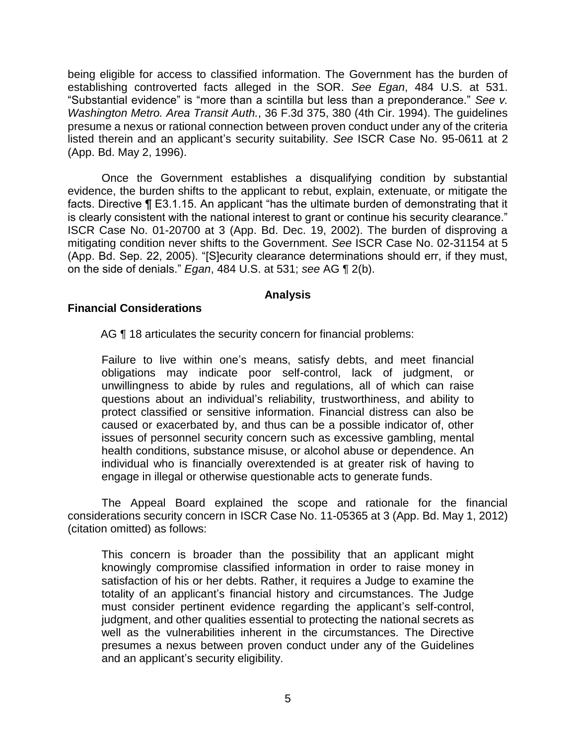being eligible for access to classified information. The Government has the burden of establishing controverted facts alleged in the SOR. *See Egan*, 484 U.S. at 531. "Substantial evidence" is "more than a scintilla but less than a preponderance." *See v. Washington Metro. Area Transit Auth.*, 36 F.3d 375, 380 (4th Cir. 1994). The guidelines presume a nexus or rational connection between proven conduct under any of the criteria listed therein and an applicant's security suitability. *See* ISCR Case No. 95-0611 at 2 (App. Bd. May 2, 1996).

Once the Government establishes a disqualifying condition by substantial evidence, the burden shifts to the applicant to rebut, explain, extenuate, or mitigate the facts. Directive ¶ E3.1.15. An applicant "has the ultimate burden of demonstrating that it is clearly consistent with the national interest to grant or continue his security clearance." ISCR Case No. 01-20700 at 3 (App. Bd. Dec. 19, 2002). The burden of disproving a mitigating condition never shifts to the Government. *See* ISCR Case No. 02-31154 at 5 (App. Bd. Sep. 22, 2005). "[S]ecurity clearance determinations should err, if they must, on the side of denials." *Egan*, 484 U.S. at 531; *see* AG ¶ 2(b).

## **Analysis**

### **Financial Considerations**

AG ¶ 18 articulates the security concern for financial problems:

 Failure to live within one's means, satisfy debts, and meet financial obligations may indicate poor self-control, lack of judgment, or unwillingness to abide by rules and regulations, all of which can raise questions about an individual's reliability, trustworthiness, and ability to protect classified or sensitive information. Financial distress can also be caused or exacerbated by, and thus can be a possible indicator of, other issues of personnel security concern such as excessive gambling, mental health conditions, substance misuse, or alcohol abuse or dependence. An individual who is financially overextended is at greater risk of having to engage in illegal or otherwise questionable acts to generate funds.

 The Appeal Board explained the scope and rationale for the financial considerations security concern in ISCR Case No. 11-05365 at 3 (App. Bd. May 1, 2012) (citation omitted) as follows:

 This concern is broader than the possibility that an applicant might knowingly compromise classified information in order to raise money in satisfaction of his or her debts. Rather, it requires a Judge to examine the totality of an applicant's financial history and circumstances. The Judge must consider pertinent evidence regarding the applicant's self-control, judgment, and other qualities essential to protecting the national secrets as well as the vulnerabilities inherent in the circumstances. The Directive presumes a nexus between proven conduct under any of the Guidelines and an applicant's security eligibility.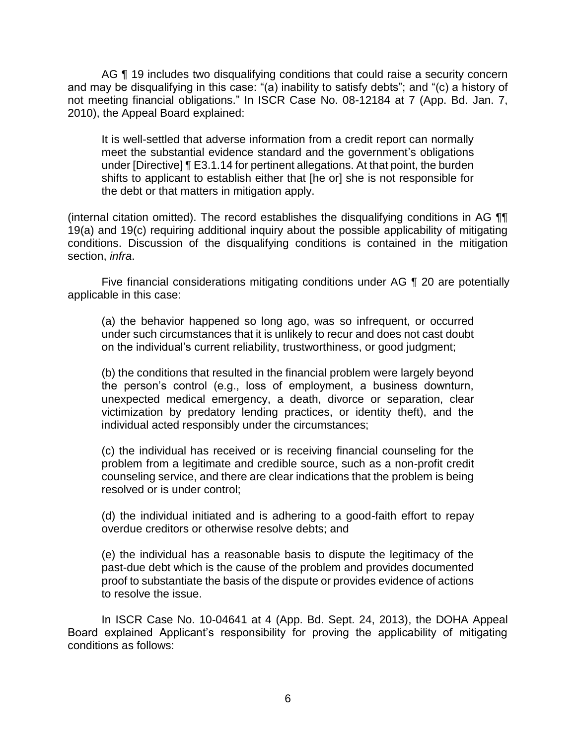AG ¶ 19 includes two disqualifying conditions that could raise a security concern and may be disqualifying in this case: "(a) inability to satisfy debts"; and "(c) a history of not meeting financial obligations." In ISCR Case No. 08-12184 at 7 (App. Bd. Jan. 7, 2010), the Appeal Board explained:

 It is well-settled that adverse information from a credit report can normally meet the substantial evidence standard and the government's obligations under [Directive] ¶ E3.1.14 for pertinent allegations. At that point, the burden shifts to applicant to establish either that [he or] she is not responsible for the debt or that matters in mitigation apply.

 19(a) and 19(c) requiring additional inquiry about the possible applicability of mitigating conditions. Discussion of the disqualifying conditions is contained in the mitigation (internal citation omitted). The record establishes the disqualifying conditions in AG ¶¶ section, *infra*.

Five financial considerations mitigating conditions under AG ¶ 20 are potentially applicable in this case:

 (a) the behavior happened so long ago, was so infrequent, or occurred under such circumstances that it is unlikely to recur and does not cast doubt on the individual's current reliability, trustworthiness, or good judgment;

(b) the conditions that resulted in the financial problem were largely beyond the person's control (e.g., loss of employment, a business downturn, unexpected medical emergency, a death, divorce or separation, clear victimization by predatory lending practices, or identity theft), and the individual acted responsibly under the circumstances;

 (c) the individual has received or is receiving financial counseling for the problem from a legitimate and credible source, such as a non-profit credit counseling service, and there are clear indications that the problem is being resolved or is under control;

 (d) the individual initiated and is adhering to a good-faith effort to repay overdue creditors or otherwise resolve debts; and

 (e) the individual has a reasonable basis to dispute the legitimacy of the proof to substantiate the basis of the dispute or provides evidence of actions past-due debt which is the cause of the problem and provides documented to resolve the issue.

In ISCR Case No. 10-04641 at 4 (App. Bd. Sept. 24, 2013), the DOHA Appeal Board explained Applicant's responsibility for proving the applicability of mitigating conditions as follows: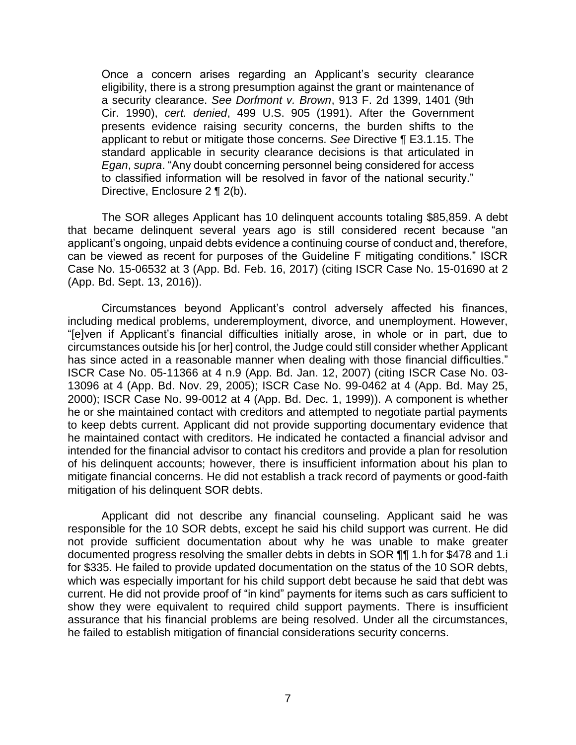Once a concern arises regarding an Applicant's security clearance eligibility, there is a strong presumption against the grant or maintenance of a security clearance. *See Dorfmont v. Brown*, 913 F. 2d 1399, 1401 (9th Cir. 1990), *cert. denied*, 499 U.S. 905 (1991). After the Government presents evidence raising security concerns, the burden shifts to the applicant to rebut or mitigate those concerns. *See* Directive ¶ E3.1.15. The standard applicable in security clearance decisions is that articulated in *Egan*, *supra*. "Any doubt concerning personnel being considered for access to classified information will be resolved in favor of the national security." Directive, Enclosure 2 ¶ 2(b).

 The SOR alleges Applicant has 10 delinquent accounts totaling \$85,859. A debt that became delinquent several years ago is still considered recent because "an applicant's ongoing, unpaid debts evidence a continuing course of conduct and, therefore, can be viewed as recent for purposes of the Guideline F mitigating conditions." ISCR Case No. 15-06532 at 3 (App. Bd. Feb. 16, 2017) (citing ISCR Case No. 15-01690 at 2 (App. Bd. Sept. 13, 2016)).

Circumstances beyond Applicant's control adversely affected his finances, including medical problems, underemployment, divorce, and unemployment. However, "[e]ven if Applicant's financial difficulties initially arose, in whole or in part, due to circumstances outside his [or her] control, the Judge could still consider whether Applicant has since acted in a reasonable manner when dealing with those financial difficulties." ISCR Case No. 05-11366 at 4 n.9 (App. Bd. Jan. 12, 2007) (citing ISCR Case No. 03- 13096 at 4 (App. Bd. Nov. 29, 2005); ISCR Case No. 99-0462 at 4 (App. Bd. May 25, 2000); ISCR Case No. 99-0012 at 4 (App. Bd. Dec. 1, 1999)). A component is whether he or she maintained contact with creditors and attempted to negotiate partial payments to keep debts current. Applicant did not provide supporting documentary evidence that he maintained contact with creditors. He indicated he contacted a financial advisor and intended for the financial advisor to contact his creditors and provide a plan for resolution of his delinquent accounts; however, there is insufficient information about his plan to mitigate financial concerns. He did not establish a track record of payments or good-faith mitigation of his delinquent SOR debts.

 Applicant did not describe any financial counseling. Applicant said he was responsible for the 10 SOR debts, except he said his child support was current. He did not provide sufficient documentation about why he was unable to make greater documented progress resolving the smaller debts in debts in SOR 11 1.h for \$478 and 1.i for \$335. He failed to provide updated documentation on the status of the 10 SOR debts, which was especially important for his child support debt because he said that debt was current. He did not provide proof of "in kind" payments for items such as cars sufficient to show they were equivalent to required child support payments. There is insufficient assurance that his financial problems are being resolved. Under all the circumstances, he failed to establish mitigation of financial considerations security concerns.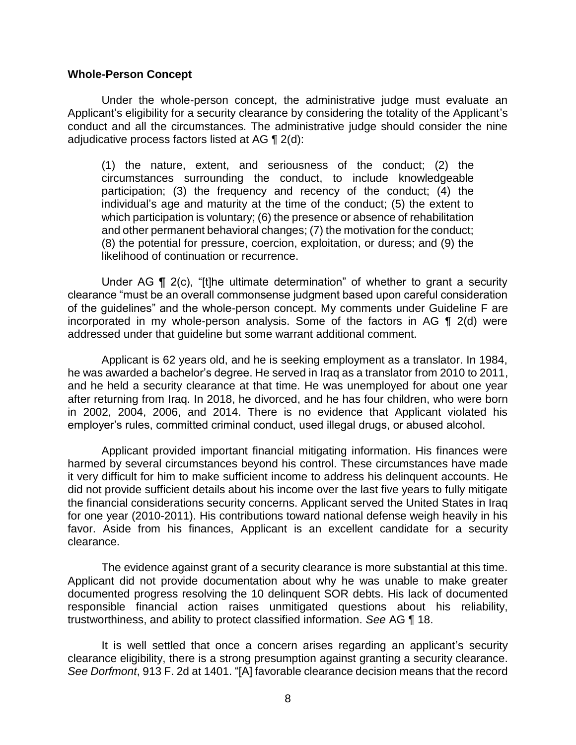#### **Whole-Person Concept**

 Under the whole-person concept, the administrative judge must evaluate an conduct and all the circumstances. The administrative judge should consider the nine adjudicative process factors listed at AG  $\P$  2(d): Applicant's eligibility for a security clearance by considering the totality of the Applicant's

(1) the nature, extent, and seriousness of the conduct; (2) the circumstances surrounding the conduct, to include knowledgeable participation; (3) the frequency and recency of the conduct; (4) the individual's age and maturity at the time of the conduct; (5) the extent to which participation is voluntary; (6) the presence or absence of rehabilitation and other permanent behavioral changes; (7) the motivation for the conduct; (8) the potential for pressure, coercion, exploitation, or duress; and (9) the likelihood of continuation or recurrence.

 clearance "must be an overall commonsense judgment based upon careful consideration of the guidelines" and the whole-person concept. My comments under Guideline F are incorporated in my whole-person analysis. Some of the factors in AG ¶ 2(d) were Under AG ¶ 2(c), "[t]he ultimate determination" of whether to grant a security addressed under that guideline but some warrant additional comment.

 Applicant is 62 years old, and he is seeking employment as a translator. In 1984, he was awarded a bachelor's degree. He served in Iraq as a translator from 2010 to 2011, and he held a security clearance at that time. He was unemployed for about one year after returning from Iraq. In 2018, he divorced, and he has four children, who were born in 2002, 2004, 2006, and 2014. There is no evidence that Applicant violated his employer's rules, committed criminal conduct, used illegal drugs, or abused alcohol.

 harmed by several circumstances beyond his control. These circumstances have made it very difficult for him to make sufficient income to address his delinquent accounts. He the financial considerations security concerns. Applicant served the United States in Iraq for one year (2010-2011). His contributions toward national defense weigh heavily in his favor. Aside from his finances, Applicant is an excellent candidate for a security Applicant provided important financial mitigating information. His finances were did not provide sufficient details about his income over the last five years to fully mitigate clearance.

 The evidence against grant of a security clearance is more substantial at this time. Applicant did not provide documentation about why he was unable to make greater responsible financial action raises unmitigated questions about his reliability, documented progress resolving the 10 delinquent SOR debts. His lack of documented trustworthiness, and ability to protect classified information. *See* AG ¶ 18.

 It is well settled that once a concern arises regarding an applicant's security clearance eligibility, there is a strong presumption against granting a security clearance. *See Dorfmont*, 913 F. 2d at 1401. "[A] favorable clearance decision means that the record